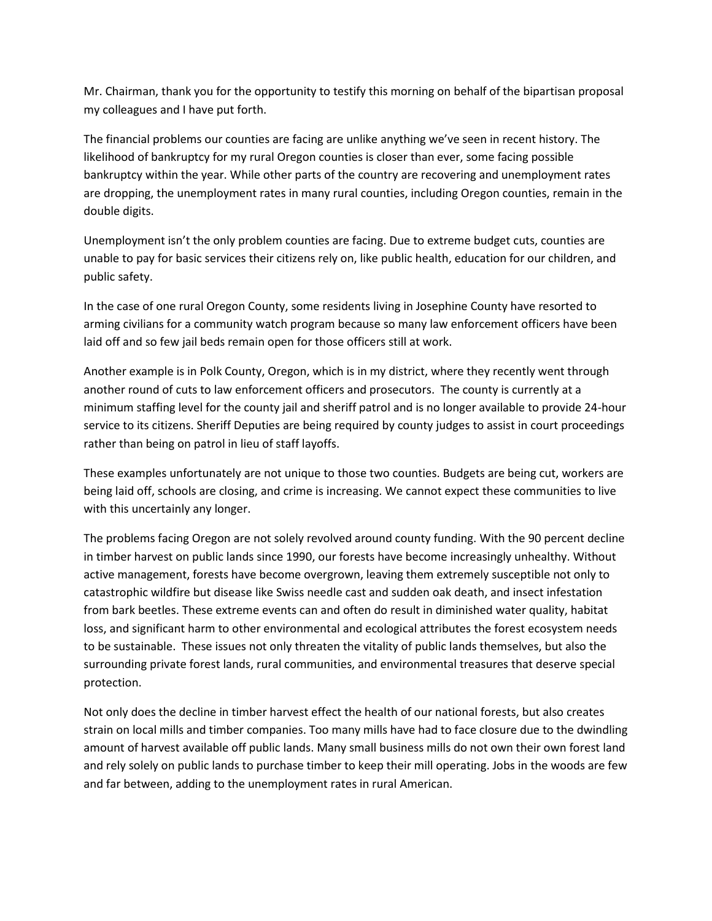Mr. Chairman, thank you for the opportunity to testify this morning on behalf of the bipartisan proposal my colleagues and I have put forth.

The financial problems our counties are facing are unlike anything we've seen in recent history. The likelihood of bankruptcy for my rural Oregon counties is closer than ever, some facing possible bankruptcy within the year. While other parts of the country are recovering and unemployment rates are dropping, the unemployment rates in many rural counties, including Oregon counties, remain in the double digits.

Unemployment isn't the only problem counties are facing. Due to extreme budget cuts, counties are unable to pay for basic services their citizens rely on, like public health, education for our children, and public safety.

In the case of one rural Oregon County, some residents living in Josephine County have resorted to arming civilians for a community watch program because so many law enforcement officers have been laid off and so few jail beds remain open for those officers still at work.

Another example is in Polk County, Oregon, which is in my district, where they recently went through another round of cuts to law enforcement officers and prosecutors. The county is currently at a minimum staffing level for the county jail and sheriff patrol and is no longer available to provide 24-hour service to its citizens. Sheriff Deputies are being required by county judges to assist in court proceedings rather than being on patrol in lieu of staff layoffs.

These examples unfortunately are not unique to those two counties. Budgets are being cut, workers are being laid off, schools are closing, and crime is increasing. We cannot expect these communities to live with this uncertainly any longer.

The problems facing Oregon are not solely revolved around county funding. With the 90 percent decline in timber harvest on public lands since 1990, our forests have become increasingly unhealthy. Without active management, forests have become overgrown, leaving them extremely susceptible not only to catastrophic wildfire but disease like Swiss needle cast and sudden oak death, and insect infestation from bark beetles. These extreme events can and often do result in diminished water quality, habitat loss, and significant harm to other environmental and ecological attributes the forest ecosystem needs to be sustainable. These issues not only threaten the vitality of public lands themselves, but also the surrounding private forest lands, rural communities, and environmental treasures that deserve special protection.

Not only does the decline in timber harvest effect the health of our national forests, but also creates strain on local mills and timber companies. Too many mills have had to face closure due to the dwindling amount of harvest available off public lands. Many small business mills do not own their own forest land and rely solely on public lands to purchase timber to keep their mill operating. Jobs in the woods are few and far between, adding to the unemployment rates in rural American.